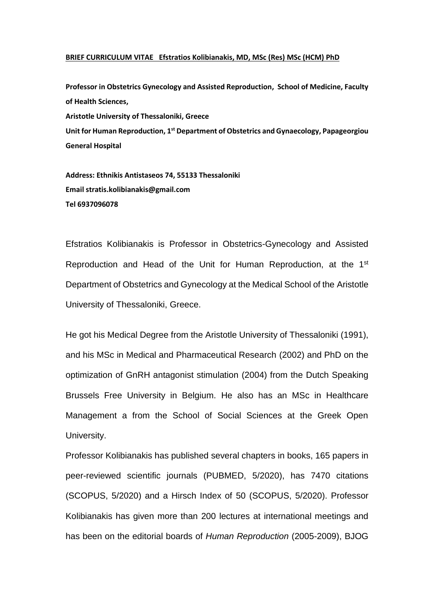## **BRIEF CURRICULUM VITAE Efstratios Kolibianakis, MD, MSc (Res) MSc (HCM) PhD**

**Professor in Obstetrics Gynecology and Assisted Reproduction, School of Medicine, Faculty of Health Sciences, Aristotle University of Thessaloniki, Greece Unit for Human Reproduction, 1st Department of Obstetrics and Gynaecology, Papageorgiou General Hospital**

**Address: Ethnikis Antistaseos 74, 55133 Thessaloniki Email stratis.kolibianakis@gmail.com Tel 6937096078**

Efstratios Kolibianakis is Professor in Obstetrics-Gynecology and Assisted Reproduction and Head of the Unit for Human Reproduction, at the 1st Department of Obstetrics and Gynecology at the Medical School of the Aristotle University of Thessaloniki, Greece.

He got his Medical Degree from the Aristotle University of Thessaloniki (1991), and his MSc in Medical and Pharmaceutical Research (2002) and PhD on the optimization of GnRH antagonist stimulation (2004) from the Dutch Speaking Brussels Free University in Belgium. He also has an MSc in Healthcare Management a from the School of Social Sciences at the Greek Open University.

Professor Kolibianakis has published several chapters in books, 165 papers in peer-reviewed scientific journals (PUBMED, 5/2020), has 7470 citations (SCOPUS, 5/2020) and a Hirsch Index of 50 (SCOPUS, 5/2020). Professor Kolibianakis has given more than 200 lectures at international meetings and has been on the editorial boards of *Human Reproduction* (2005-2009), BJOG